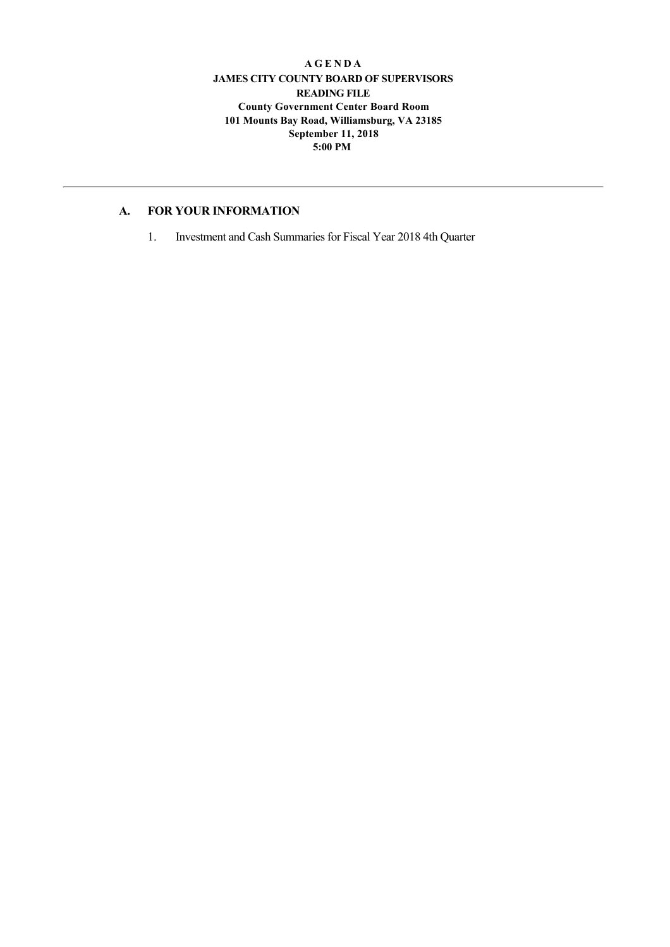#### **A G E N D A JAMES CITY COUNTY BOARD OF SUPERVISORS READING FILE County Government Center Board Room 101 Mounts Bay Road, Williamsburg, VA 23185 September 11, 2018 5:00 PM**

## **A. FOR YOUR INFORMATION**

1. Investment and Cash Summaries for Fiscal Year 2018 4th Quarter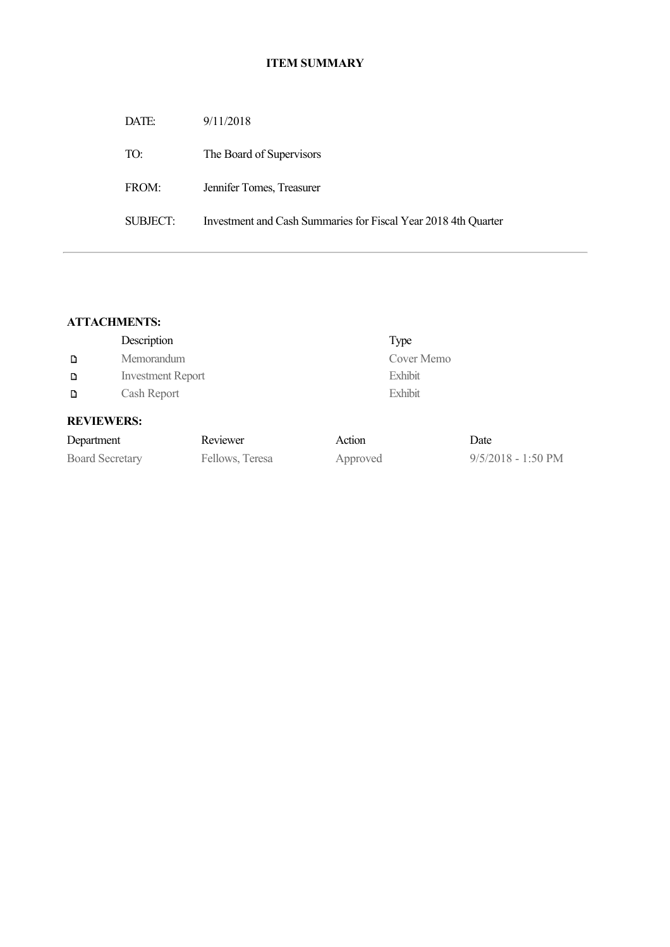# **ITEM SUMMARY**

| DATE:    | 9/11/2018                                                      |
|----------|----------------------------------------------------------------|
| TO:      | The Board of Supervisors                                       |
| FROM:    | Jennifer Tomes, Treasurer                                      |
| SUBJECT: | Investment and Cash Summaries for Fiscal Year 2018 4th Quarter |
|          |                                                                |

# **ATTACHMENTS:**

|                   | Description              | Type       |  |  |  |
|-------------------|--------------------------|------------|--|--|--|
| D                 | Memorandum               | Cover Memo |  |  |  |
| D                 | <b>Investment Report</b> | Exhibit    |  |  |  |
| D                 | Cash Report              | Exhibit    |  |  |  |
| <b>REVIEWERS:</b> |                          |            |  |  |  |

| Department             | Reviewer        | Action   | Date                         |
|------------------------|-----------------|----------|------------------------------|
| <b>Board Secretary</b> | Fellows, Teresa | Approved | $9/5/2018 - 1:50 \text{ PM}$ |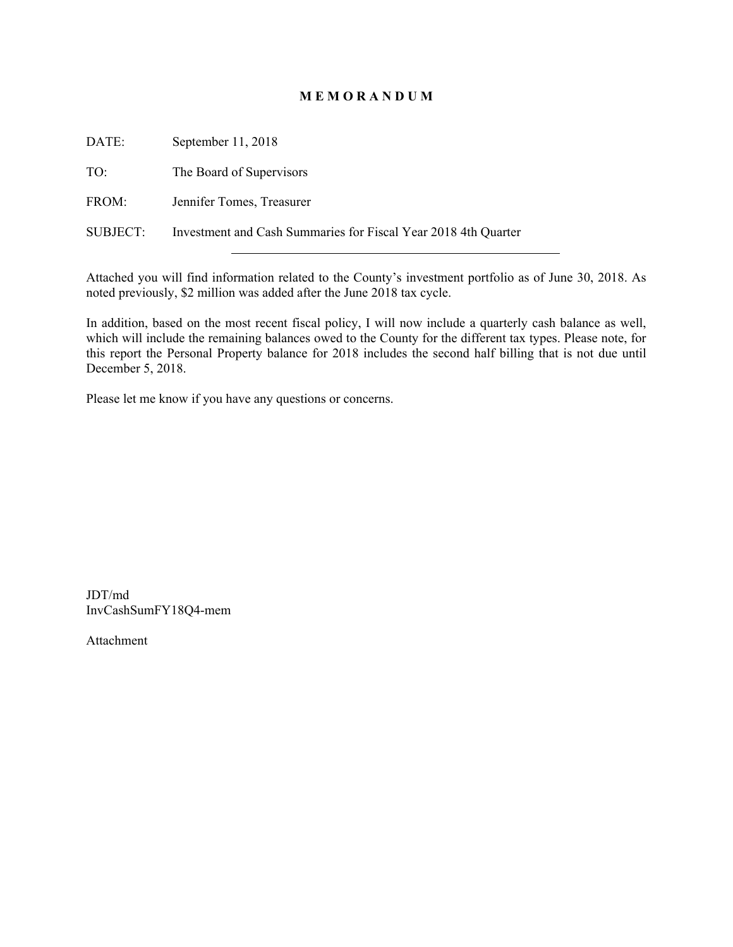### **M E M O R A N D U M**

| DATE:    | September 11, 2018                                             |
|----------|----------------------------------------------------------------|
| TO:      | The Board of Supervisors                                       |
| FROM:    | Jennifer Tomes, Treasurer                                      |
| SUBJECT: | Investment and Cash Summaries for Fiscal Year 2018 4th Quarter |

Attached you will find information related to the County's investment portfolio as of June 30, 2018. As noted previously, \$2 million was added after the June 2018 tax cycle.

In addition, based on the most recent fiscal policy, I will now include a quarterly cash balance as well, which will include the remaining balances owed to the County for the different tax types. Please note, for this report the Personal Property balance for 2018 includes the second half billing that is not due until December 5, 2018.

Please let me know if you have any questions or concerns.

JDT/md InvCashSumFY18Q4-mem

Attachment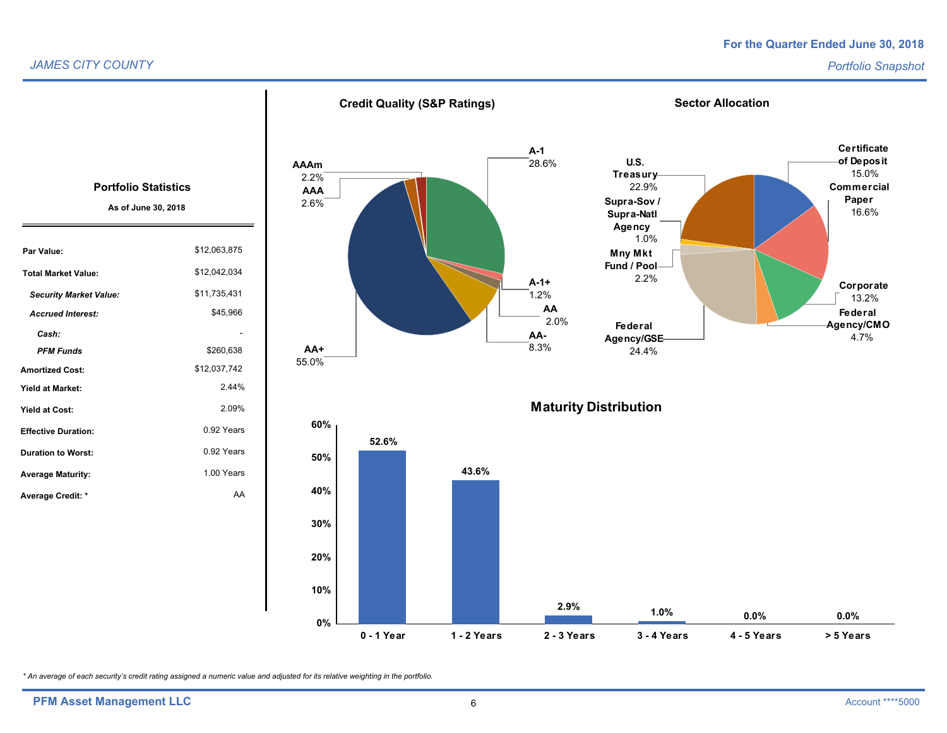#### *JAMES CITY COUNTY*

#### *Portfolio Snapshot*



*\* An average of each security's credit rating assigned a numeric value and adjusted for its relative weighting in the portfolio.*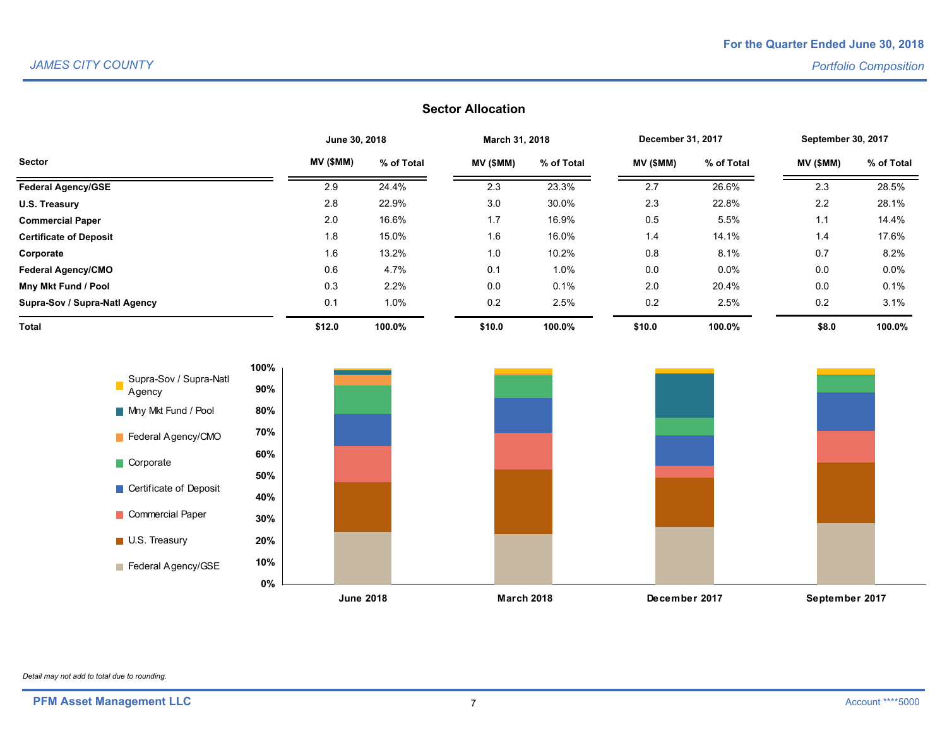## **Sector Allocation**

|                               | June 30, 2018 |            | March 31, 2018 |            | December 31, 2017 |            | <b>September 30, 2017</b> |            |
|-------------------------------|---------------|------------|----------------|------------|-------------------|------------|---------------------------|------------|
| <b>Sector</b>                 | MV (\$MM)     | % of Total | MV (\$MM)      | % of Total | MV (\$MM)         | % of Total | MV (\$MM)                 | % of Total |
| <b>Federal Agency/GSE</b>     | 2.9           | 24.4%      | 2.3            | 23.3%      | 2.7               | 26.6%      | 2.3                       | 28.5%      |
| U.S. Treasury                 | 2.8           | 22.9%      | 3.0            | 30.0%      | 2.3               | 22.8%      | 2.2                       | 28.1%      |
| <b>Commercial Paper</b>       | 2.0           | 16.6%      | 1.7            | 16.9%      | 0.5               | 5.5%       | 1.1                       | 14.4%      |
| <b>Certificate of Deposit</b> | 1.8           | 15.0%      | 1.6            | 16.0%      | 1.4               | 14.1%      | 1.4                       | 17.6%      |
| Corporate                     | 1.6           | 13.2%      | 1.0            | 10.2%      | 0.8               | 8.1%       | 0.7                       | 8.2%       |
| <b>Federal Agency/CMO</b>     | 0.6           | 4.7%       | 0.1            | 1.0%       | 0.0               | $0.0\%$    | 0.0                       | $0.0\%$    |
| Mny Mkt Fund / Pool           | 0.3           | 2.2%       | 0.0            | 0.1%       | 2.0               | 20.4%      | 0.0                       | 0.1%       |
| Supra-Sov / Supra-Natl Agency | 0.1           | 1.0%       | 0.2            | 2.5%       | 0.2               | 2.5%       | 0.2                       | 3.1%       |
| <b>Total</b>                  | \$12.0        | 100.0%     | \$10.0         | 100.0%     | \$10.0            | 100.0%     | \$8.0                     | 100.0%     |



*Detail may not add to total due to rounding.*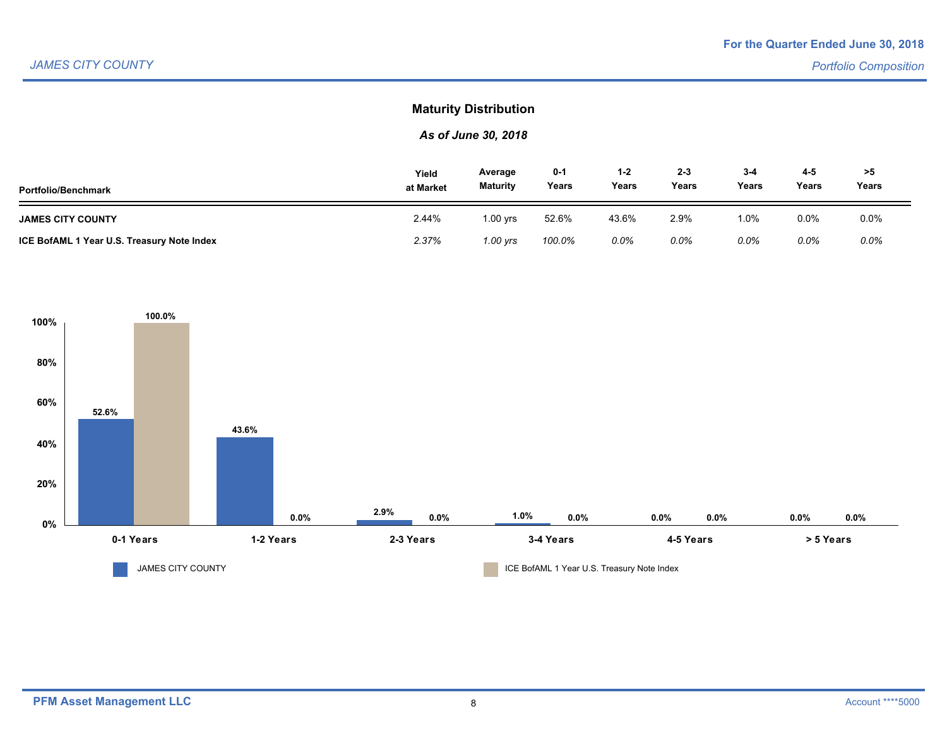## **Maturity Distribution**

## *As of June 30, 2018*

| <b>Portfolio/Benchmark</b>                 | Yield<br>at Market | Average<br><b>Maturity</b> | $0 - 1$<br>Years | 1-2<br>Years | $2 - 3$<br>Years | $3 - 4$<br>Years | $4 - 5$<br>Years | >5<br>Years |  |
|--------------------------------------------|--------------------|----------------------------|------------------|--------------|------------------|------------------|------------------|-------------|--|
| <b>JAMES CITY COUNTY</b>                   | 2.44%              | 1.00 vrs                   | 52.6%            | 43.6%        | 2.9%             | 0%،۱             | 0.0%             | 0.0%        |  |
| ICE BofAML 1 Year U.S. Treasury Note Index | 2.37%              | 1.00 yrs                   | 100.0%           | 0.0%         | $0.0\%$          | 0.0%             | 0.0%             | $0.0\%$     |  |